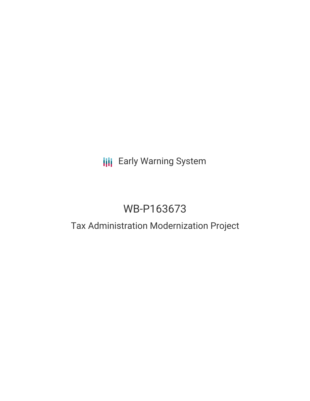## **III** Early Warning System

# WB-P163673

## Tax Administration Modernization Project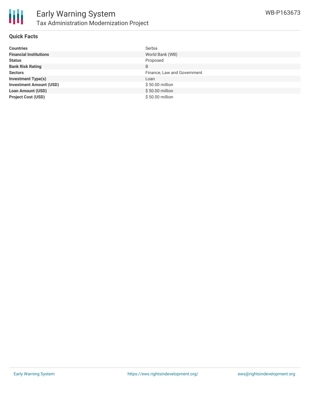

### **Quick Facts**

| <b>Countries</b>               | Serbia                      |
|--------------------------------|-----------------------------|
| <b>Financial Institutions</b>  | World Bank (WB)             |
| <b>Status</b>                  | Proposed                    |
| <b>Bank Risk Rating</b>        | B                           |
| <b>Sectors</b>                 | Finance, Law and Government |
| <b>Investment Type(s)</b>      | Loan                        |
| <b>Investment Amount (USD)</b> | \$50.00 million             |
| <b>Loan Amount (USD)</b>       | \$50.00 million             |
| <b>Project Cost (USD)</b>      | \$50.00 million             |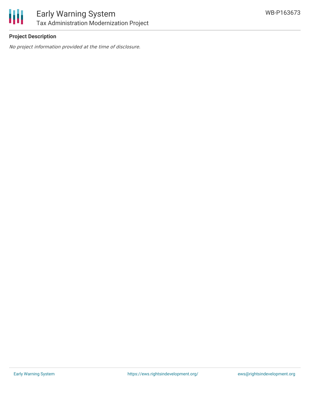

## **Project Description**

No project information provided at the time of disclosure.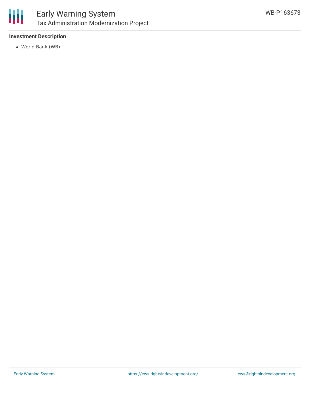

## **Investment Description**

World Bank (WB)